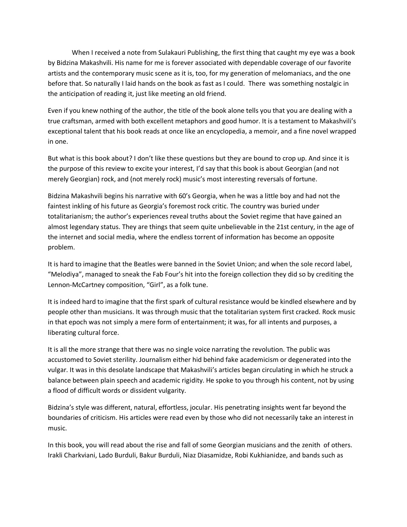When I received a note from Sulakauri Publishing, the first thing that caught my eye was a book by Bidzina Makashvili. His name for me is forever associated with dependable coverage of our favorite artists and the contemporary music scene as it is, too, for my generation of melomaniacs, and the one before that. So naturally I laid hands on the book as fast as I could. There was something nostalgic in the anticipation of reading it, just like meeting an old friend.

Even if you knew nothing of the author, the title of the book alone tells you that you are dealing with a true craftsman, armed with both excellent metaphors and good humor. It is a testament to Makashvili's exceptional talent that his book reads at once like an encyclopedia, a memoir, and a fine novel wrapped in one.

But what is this book about? I don't like these questions but they are bound to crop up. And since it is the purpose of this review to excite your interest, I'd say that this book is about Georgian (and not merely Georgian) rock, and (not merely rock) music's most interesting reversals of fortune.

Bidzina Makashvili begins his narrative with 60's Georgia, when he was a little boy and had not the faintest inkling of his future as Georgia's foremost rock critic. The country was buried under totalitarianism; the author's experiences reveal truths about the Soviet regime that have gained an almost legendary status. They are things that seem quite unbelievable in the 21st century, in the age of the internet and social media, where the endless torrent of information has become an opposite problem.

It is hard to imagine that the Beatles were banned in the Soviet Union; and when the sole record label, "Melodiya", managed to sneak the Fab Four's hit into the foreign collection they did so by crediting the Lennon-McCartney composition, "Girl", as a folk tune.

It is indeed hard to imagine that the first spark of cultural resistance would be kindled elsewhere and by people other than musicians. It was through music that the totalitarian system first cracked. Rock music in that epoch was not simply a mere form of entertainment; it was, for all intents and purposes, a liberating cultural force.

It is all the more strange that there was no single voice narrating the revolution. The public was accustomed to Soviet sterility. Journalism either hid behind fake academicism or degenerated into the vulgar. It was in this desolate landscape that Makashvili's articles began circulating in which he struck a balance between plain speech and academic rigidity. He spoke to you through his content, not by using a flood of difficult words or dissident vulgarity.

Bidzina's style was different, natural, effortless, jocular. His penetrating insights went far beyond the boundaries of criticism. His articles were read even by those who did not necessarily take an interest in music.

In this book, you will read about the rise and fall of some Georgian musicians and the zenith of others. Irakli Charkviani, Lado Burduli, Bakur Burduli, Niaz Diasamidze, Robi Kukhianidze, and bands such as